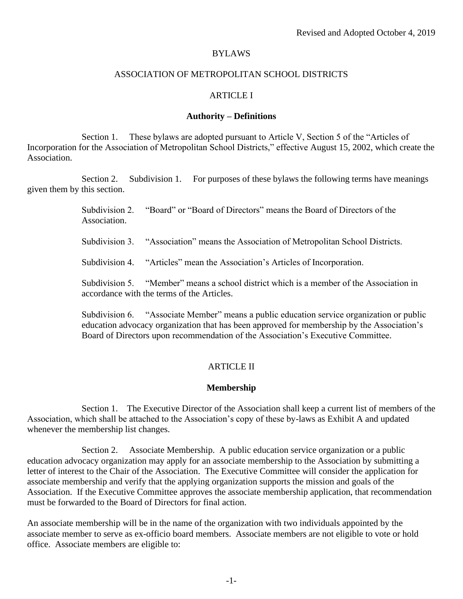# BYLAWS

# ASSOCIATION OF METROPOLITAN SCHOOL DISTRICTS

# ARTICLE I

## **Authority – Definitions**

Section 1. These bylaws are adopted pursuant to Article V, Section 5 of the "Articles of Incorporation for the Association of Metropolitan School Districts," effective August 15, 2002, which create the Association.

Section 2. Subdivision 1. For purposes of these bylaws the following terms have meanings given them by this section.

> Subdivision 2. "Board" or "Board of Directors" means the Board of Directors of the Association.

Subdivision 3. "Association" means the Association of Metropolitan School Districts.

Subdivision 4. "Articles" mean the Association's Articles of Incorporation.

Subdivision 5. "Member" means a school district which is a member of the Association in accordance with the terms of the Articles.

Subdivision 6. "Associate Member" means a public education service organization or public education advocacy organization that has been approved for membership by the Association's Board of Directors upon recommendation of the Association's Executive Committee.

# ARTICLE II

## **Membership**

Section 1. The Executive Director of the Association shall keep a current list of members of the Association, which shall be attached to the Association's copy of these by-laws as Exhibit A and updated whenever the membership list changes.

Section 2. Associate Membership. A public education service organization or a public education advocacy organization may apply for an associate membership to the Association by submitting a letter of interest to the Chair of the Association. The Executive Committee will consider the application for associate membership and verify that the applying organization supports the mission and goals of the Association. If the Executive Committee approves the associate membership application, that recommendation must be forwarded to the Board of Directors for final action.

An associate membership will be in the name of the organization with two individuals appointed by the associate member to serve as ex-officio board members. Associate members are not eligible to vote or hold office. Associate members are eligible to: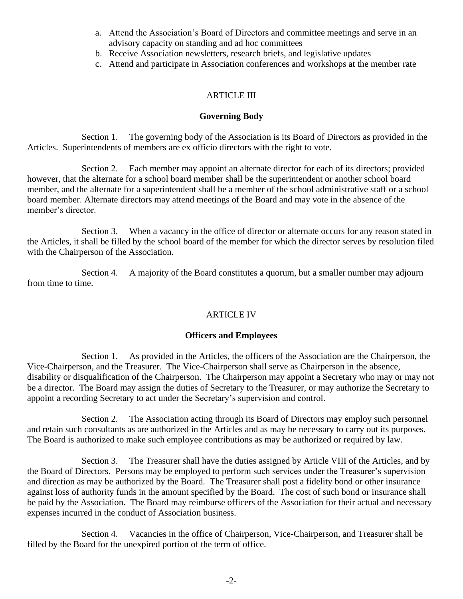- a. Attend the Association's Board of Directors and committee meetings and serve in an advisory capacity on standing and ad hoc committees
- b. Receive Association newsletters, research briefs, and legislative updates
- c. Attend and participate in Association conferences and workshops at the member rate

# ARTICLE III

## **Governing Body**

Section 1. The governing body of the Association is its Board of Directors as provided in the Articles. Superintendents of members are ex officio directors with the right to vote.

Section 2. Each member may appoint an alternate director for each of its directors; provided however, that the alternate for a school board member shall be the superintendent or another school board member, and the alternate for a superintendent shall be a member of the school administrative staff or a school board member. Alternate directors may attend meetings of the Board and may vote in the absence of the member's director.

Section 3. When a vacancy in the office of director or alternate occurs for any reason stated in the Articles, it shall be filled by the school board of the member for which the director serves by resolution filed with the Chairperson of the Association.

Section 4. A majority of the Board constitutes a quorum, but a smaller number may adjourn from time to time.

# ARTICLE IV

## **Officers and Employees**

Section 1. As provided in the Articles, the officers of the Association are the Chairperson, the Vice-Chairperson, and the Treasurer. The Vice-Chairperson shall serve as Chairperson in the absence, disability or disqualification of the Chairperson. The Chairperson may appoint a Secretary who may or may not be a director. The Board may assign the duties of Secretary to the Treasurer, or may authorize the Secretary to appoint a recording Secretary to act under the Secretary's supervision and control.

Section 2. The Association acting through its Board of Directors may employ such personnel and retain such consultants as are authorized in the Articles and as may be necessary to carry out its purposes. The Board is authorized to make such employee contributions as may be authorized or required by law.

Section 3. The Treasurer shall have the duties assigned by Article VIII of the Articles, and by the Board of Directors. Persons may be employed to perform such services under the Treasurer's supervision and direction as may be authorized by the Board. The Treasurer shall post a fidelity bond or other insurance against loss of authority funds in the amount specified by the Board. The cost of such bond or insurance shall be paid by the Association. The Board may reimburse officers of the Association for their actual and necessary expenses incurred in the conduct of Association business.

Section 4. Vacancies in the office of Chairperson, Vice-Chairperson, and Treasurer shall be filled by the Board for the unexpired portion of the term of office.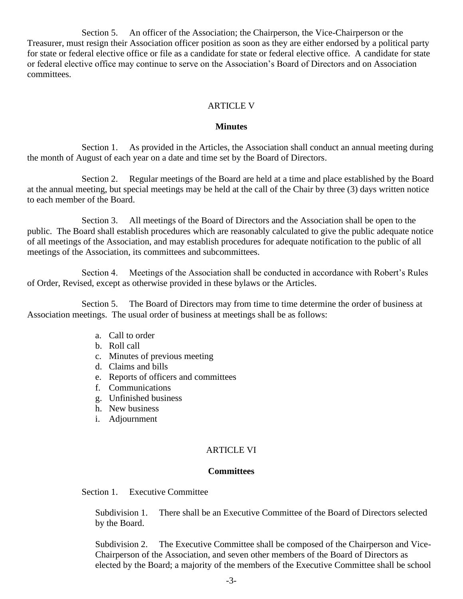Section 5. An officer of the Association; the Chairperson, the Vice-Chairperson or the Treasurer, must resign their Association officer position as soon as they are either endorsed by a political party for state or federal elective office or file as a candidate for state or federal elective office. A candidate for state or federal elective office may continue to serve on the Association's Board of Directors and on Association committees.

# ARTICLE V

#### **Minutes**

Section 1. As provided in the Articles, the Association shall conduct an annual meeting during the month of August of each year on a date and time set by the Board of Directors.

Section 2. Regular meetings of the Board are held at a time and place established by the Board at the annual meeting, but special meetings may be held at the call of the Chair by three (3) days written notice to each member of the Board.

Section 3. All meetings of the Board of Directors and the Association shall be open to the public. The Board shall establish procedures which are reasonably calculated to give the public adequate notice of all meetings of the Association, and may establish procedures for adequate notification to the public of all meetings of the Association, its committees and subcommittees.

Section 4. Meetings of the Association shall be conducted in accordance with Robert's Rules of Order, Revised, except as otherwise provided in these bylaws or the Articles.

Section 5. The Board of Directors may from time to time determine the order of business at Association meetings. The usual order of business at meetings shall be as follows:

- a. Call to order
- b. Roll call
- c. Minutes of previous meeting
- d. Claims and bills
- e. Reports of officers and committees
- f. Communications
- g. Unfinished business
- h. New business
- i. Adjournment

# ARTICLE VI

# **Committees**

Section 1. Executive Committee

Subdivision 1. There shall be an Executive Committee of the Board of Directors selected by the Board.

Subdivision 2. The Executive Committee shall be composed of the Chairperson and Vice-Chairperson of the Association, and seven other members of the Board of Directors as elected by the Board; a majority of the members of the Executive Committee shall be school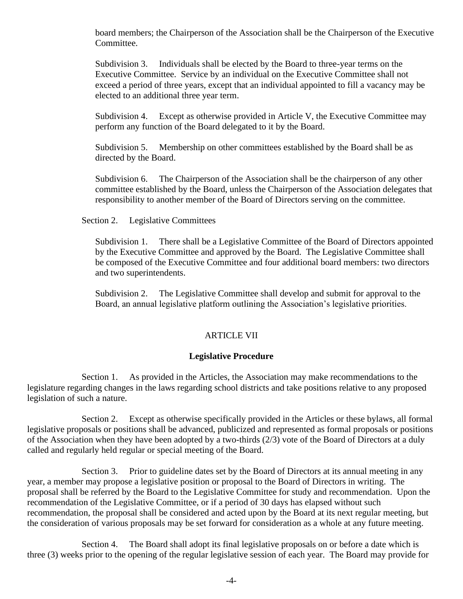board members; the Chairperson of the Association shall be the Chairperson of the Executive Committee.

Subdivision 3. Individuals shall be elected by the Board to three-year terms on the Executive Committee. Service by an individual on the Executive Committee shall not exceed a period of three years, except that an individual appointed to fill a vacancy may be elected to an additional three year term.

Subdivision 4. Except as otherwise provided in Article V, the Executive Committee may perform any function of the Board delegated to it by the Board.

Subdivision 5. Membership on other committees established by the Board shall be as directed by the Board.

Subdivision 6. The Chairperson of the Association shall be the chairperson of any other committee established by the Board, unless the Chairperson of the Association delegates that responsibility to another member of the Board of Directors serving on the committee.

Section 2. Legislative Committees

Subdivision 1. There shall be a Legislative Committee of the Board of Directors appointed by the Executive Committee and approved by the Board. The Legislative Committee shall be composed of the Executive Committee and four additional board members: two directors and two superintendents.

Subdivision 2. The Legislative Committee shall develop and submit for approval to the Board, an annual legislative platform outlining the Association's legislative priorities.

#### ARTICLE VII

#### **Legislative Procedure**

Section 1. As provided in the Articles, the Association may make recommendations to the legislature regarding changes in the laws regarding school districts and take positions relative to any proposed legislation of such a nature.

Section 2. Except as otherwise specifically provided in the Articles or these bylaws, all formal legislative proposals or positions shall be advanced, publicized and represented as formal proposals or positions of the Association when they have been adopted by a two-thirds (2/3) vote of the Board of Directors at a duly called and regularly held regular or special meeting of the Board.

Section 3. Prior to guideline dates set by the Board of Directors at its annual meeting in any year, a member may propose a legislative position or proposal to the Board of Directors in writing. The proposal shall be referred by the Board to the Legislative Committee for study and recommendation. Upon the recommendation of the Legislative Committee, or if a period of 30 days has elapsed without such recommendation, the proposal shall be considered and acted upon by the Board at its next regular meeting, but the consideration of various proposals may be set forward for consideration as a whole at any future meeting.

Section 4. The Board shall adopt its final legislative proposals on or before a date which is three (3) weeks prior to the opening of the regular legislative session of each year. The Board may provide for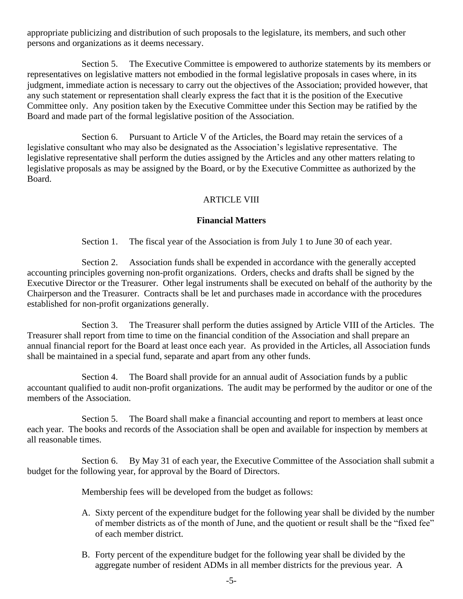appropriate publicizing and distribution of such proposals to the legislature, its members, and such other persons and organizations as it deems necessary.

Section 5. The Executive Committee is empowered to authorize statements by its members or representatives on legislative matters not embodied in the formal legislative proposals in cases where, in its judgment, immediate action is necessary to carry out the objectives of the Association; provided however, that any such statement or representation shall clearly express the fact that it is the position of the Executive Committee only. Any position taken by the Executive Committee under this Section may be ratified by the Board and made part of the formal legislative position of the Association.

Section 6. Pursuant to Article V of the Articles, the Board may retain the services of a legislative consultant who may also be designated as the Association's legislative representative. The legislative representative shall perform the duties assigned by the Articles and any other matters relating to legislative proposals as may be assigned by the Board, or by the Executive Committee as authorized by the Board.

# ARTICLE VIII

## **Financial Matters**

Section 1. The fiscal year of the Association is from July 1 to June 30 of each year.

Section 2. Association funds shall be expended in accordance with the generally accepted accounting principles governing non-profit organizations. Orders, checks and drafts shall be signed by the Executive Director or the Treasurer. Other legal instruments shall be executed on behalf of the authority by the Chairperson and the Treasurer. Contracts shall be let and purchases made in accordance with the procedures established for non-profit organizations generally.

Section 3. The Treasurer shall perform the duties assigned by Article VIII of the Articles. The Treasurer shall report from time to time on the financial condition of the Association and shall prepare an annual financial report for the Board at least once each year. As provided in the Articles, all Association funds shall be maintained in a special fund, separate and apart from any other funds.

Section 4. The Board shall provide for an annual audit of Association funds by a public accountant qualified to audit non-profit organizations. The audit may be performed by the auditor or one of the members of the Association.

Section 5. The Board shall make a financial accounting and report to members at least once each year. The books and records of the Association shall be open and available for inspection by members at all reasonable times.

Section 6. By May 31 of each year, the Executive Committee of the Association shall submit a budget for the following year, for approval by the Board of Directors.

Membership fees will be developed from the budget as follows:

- A. Sixty percent of the expenditure budget for the following year shall be divided by the number of member districts as of the month of June, and the quotient or result shall be the "fixed fee" of each member district.
- B. Forty percent of the expenditure budget for the following year shall be divided by the aggregate number of resident ADMs in all member districts for the previous year. A